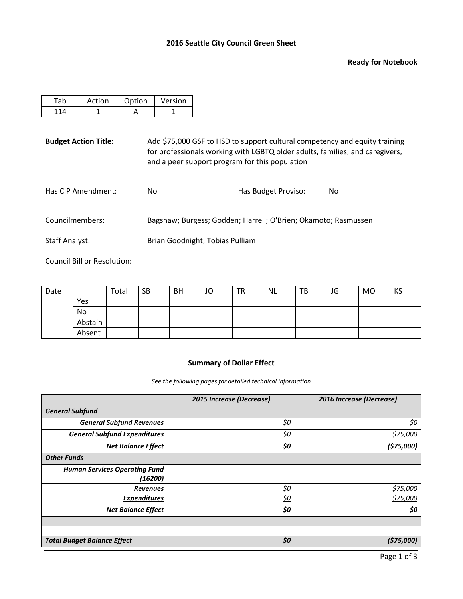#### **Ready for Notebook**

| Action | Option | Version |
|--------|--------|---------|
|        |        |         |

**Budget Action Title:** Add \$75,000 GSF to HSD to support cultural competency and equity training for professionals working with LGBTQ older adults, families, and caregivers, and a peer support program for this population

| Has CIP Amendment: | No.                             | Has Budget Proviso:                                            | Nο |
|--------------------|---------------------------------|----------------------------------------------------------------|----|
| Councilmembers:    |                                 | Bagshaw; Burgess; Godden; Harrell; O'Brien; Okamoto; Rasmussen |    |
| Staff Analyst:     | Brian Goodnight; Tobias Pulliam |                                                                |    |

Council Bill or Resolution:

| Date |         | Total | <b>SB</b> | <b>BH</b> | JO | <b>TR</b> | <b>NL</b> | ТB | JG | <b>MO</b> | KS |
|------|---------|-------|-----------|-----------|----|-----------|-----------|----|----|-----------|----|
|      | Yes     |       |           |           |    |           |           |    |    |           |    |
|      | No      |       |           |           |    |           |           |    |    |           |    |
|      | Abstain |       |           |           |    |           |           |    |    |           |    |
|      | Absent  |       |           |           |    |           |           |    |    |           |    |

# **Summary of Dollar Effect**

*See the following pages for detailed technical information*

|                                      | 2015 Increase (Decrease) | 2016 Increase (Decrease) |
|--------------------------------------|--------------------------|--------------------------|
| <b>General Subfund</b>               |                          |                          |
| <b>General Subfund Revenues</b>      | \$0                      | \$0                      |
| <b>General Subfund Expenditures</b>  | <u>\$0</u>               | \$75,000                 |
| <b>Net Balance Effect</b>            | \$0                      | (575,000)                |
| <b>Other Funds</b>                   |                          |                          |
| <b>Human Services Operating Fund</b> |                          |                          |
| (16200)                              |                          |                          |
| <b>Revenues</b>                      | \$0                      | \$75,000                 |
| <b>Expenditures</b>                  | <u>\$0</u>               | \$75,000                 |
| <b>Net Balance Effect</b>            | \$0                      | \$0                      |
|                                      |                          |                          |
|                                      |                          |                          |
| <b>Total Budget Balance Effect</b>   | \$0                      | (575,000)                |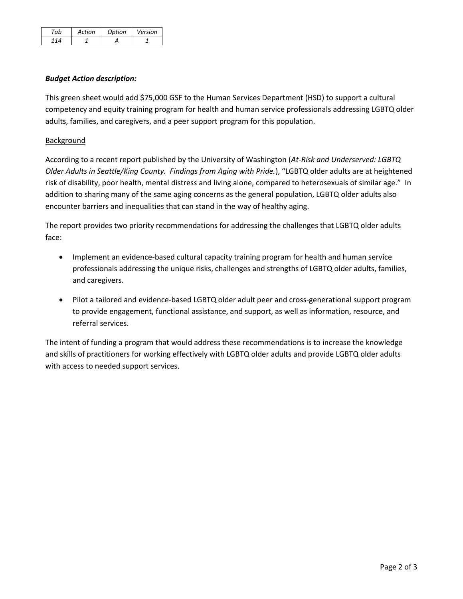| 'nh | Artion | Option | Version |
|-----|--------|--------|---------|
|     |        |        |         |

## *Budget Action description:*

This green sheet would add \$75,000 GSF to the Human Services Department (HSD) to support a cultural competency and equity training program for health and human service professionals addressing LGBTQ older adults, families, and caregivers, and a peer support program for this population.

# Background

According to a recent report published by the University of Washington (*At-Risk and Underserved: LGBTQ Older Adults in Seattle/King County. Findings from Aging with Pride.*), "LGBTQ older adults are at heightened risk of disability, poor health, mental distress and living alone, compared to heterosexuals of similar age." In addition to sharing many of the same aging concerns as the general population, LGBTQ older adults also encounter barriers and inequalities that can stand in the way of healthy aging.

The report provides two priority recommendations for addressing the challenges that LGBTQ older adults face:

- Implement an evidence-based cultural capacity training program for health and human service professionals addressing the unique risks, challenges and strengths of LGBTQ older adults, families, and caregivers.
- Pilot a tailored and evidence-based LGBTQ older adult peer and cross-generational support program to provide engagement, functional assistance, and support, as well as information, resource, and referral services.

The intent of funding a program that would address these recommendations is to increase the knowledge and skills of practitioners for working effectively with LGBTQ older adults and provide LGBTQ older adults with access to needed support services.